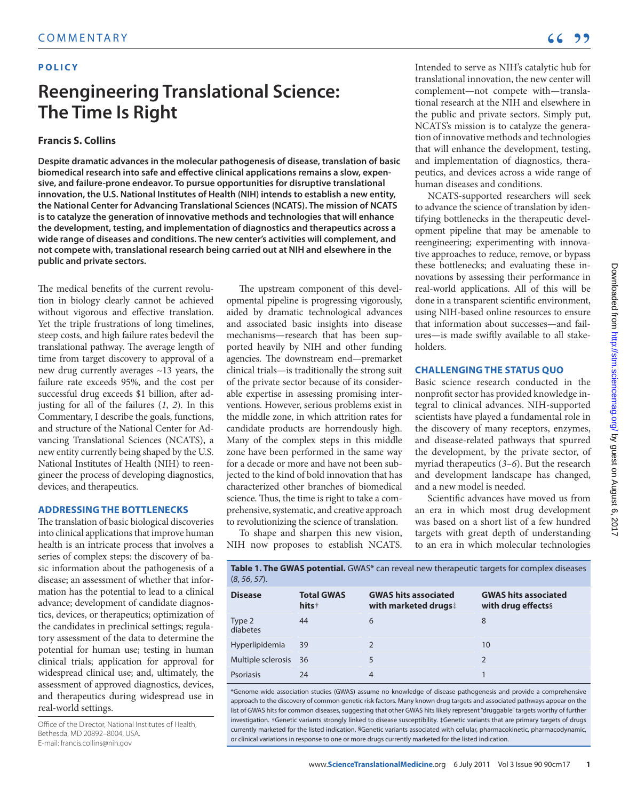## **P O L I C Y**

# **Reengineering Translational Science: The Time Is Right**

#### **Francis S. Collins**

**Despite dramatic advances in the molecular pathogenesis of disease, translation of basic biomedical research into safe and effective clinical applications remains a slow, expensive, and failure-prone endeavor. To pursue opportunities for disruptive translational innovation, the U.S. National Institutes of Health (NIH) intends to establish a new entity, the National Center for Advancing Translational Sciences (NCATS). The mission of NCATS is to catalyze the generation of innovative methods and technologies that will enhance the development, testing, and implementation of diagnostics and therapeutics across a wide range of diseases and conditions. The new center's activities will complement, and not compete with, translational research being carried out at NIH and elsewhere in the public and private sectors.**

The medical benefits of the current revolution in biology clearly cannot be achieved without vigorous and effective translation. Yet the triple frustrations of long timelines, steep costs, and high failure rates bedevil the translational pathway. The average length of time from target discovery to approval of a new drug currently averages ~13 years, the failure rate exceeds 95%, and the cost per successful drug exceeds \$1 billion, after adjusting for all of the failures (*1*, *2*). In this Commentary, I describe the goals, functions, and structure of the National Center for Advancing Translational Sciences (NCATS), a new entity currently being shaped by the U.S. National Institutes of Health (NIH) to reengineer the process of developing diagnostics, devices, and therapeutics.

#### **ADDRESSING THE BOTTLENECKS**

The translation of basic biological discoveries into clinical applications that improve human health is an intricate process that involves a series of complex steps: the discovery of basic information about the pathogenesis of a disease; an assessment of whether that information has the potential to lead to a clinical advance; development of candidate diagnostics, devices, or therapeutics; optimization of the candidates in preclinical settings; regulatory assessment of the data to determine the potential for human use; testing in human clinical trials; application for approval for widespread clinical use; and, ultimately, the assessment of approved diagnostics, devices, and therapeutics during widespread use in real-world settings.

E-mail: francis.collins@nih.gov Office of the Director, National Institutes of Health, Bethesda, MD 20892–8004, USA.

The upstream component of this developmental pipeline is progressing vigorously, aided by dramatic technological advances and associated basic insights into disease mechanisms—research that has been supported heavily by NIH and other funding agencies. The downstream end—premarket clinical trials—is traditionally the strong suit of the private sector because of its considerable expertise in assessing promising interventions. However, serious problems exist in the middle zone, in which attrition rates for candidate products are horrendously high. Many of the complex steps in this middle zone have been performed in the same way for a decade or more and have not been subjected to the kind of bold innovation that has characterized other branches of biomedical science. Thus, the time is right to take a comprehensive, systematic, and creative approach to revolutionizing the science of translation.

To shape and sharpen this new vision, NIH now proposes to establish NCATS. Intended to serve as NIH's catalytic hub for translational innovation, the new center will complement—not compete with—translational research at the NIH and elsewhere in the public and private sectors. Simply put, NCATS's mission is to catalyze the generation of innovative methods and technologies that will enhance the development, testing, and implementation of diagnostics, therapeutics, and devices across a wide range of human diseases and conditions.

NCATS-supported researchers will seek to advance the science of translation by identifying bottlenecks in the therapeutic development pipeline that may be amenable to reengineering; experimenting with innovative approaches to reduce, remove, or bypass these bottlenecks; and evaluating these innovations by assessing their performance in real-world applications. All of this will be done in a transparent scientific environment, using NIH-based online resources to ensure that information about successes—and failures-is made swiftly available to all stakeholders.

#### **CHALLENGING THE STATUS QUO**

Basic science research conducted in the nonprofit sector has provided knowledge integral to clinical advances. NIH-supported scientists have played a fundamental role in the discovery of many receptors, enzymes, and disease-related pathways that spurred the development, by the private sector, of myriad therapeutics (*3*–*6*). But the research and development landscape has changed, and a new model is needed.

Scientific advances have moved us from an era in which most drug development was based on a short list of a few hundred targets with great depth of understanding to an era in which molecular technologies

| <b>Table 1. The GWAS potential.</b> GWAS* can reveal new therapeutic targets for complex diseases<br>$(8, 56, 57)$ . |                                        |                                                     |                                                   |  |
|----------------------------------------------------------------------------------------------------------------------|----------------------------------------|-----------------------------------------------------|---------------------------------------------------|--|
| <b>Disease</b>                                                                                                       | <b>Total GWAS</b><br>hits <sup>†</sup> | <b>GWAS hits associated</b><br>with marketed drugs# | <b>GWAS hits associated</b><br>with drug effects§ |  |
| Type 2<br>diabetes                                                                                                   | 44                                     | 6                                                   | 8                                                 |  |
| Hyperlipidemia                                                                                                       | 39                                     |                                                     | 10                                                |  |

Multiple sclerosis 36 2 Psoriasis 24 4 1 1

\*Genome-wide association studies (GWAS) assume no knowledge of disease pathogenesis and provide a comprehensive approach to the discovery of common genetic risk factors. Many known drug targets and associated pathways appear on the list of GWAS hits for common diseases, suggesting that other GWAS hits likely represent"druggable" targets worthy of further investigation. \*Genetic variants strongly linked to disease susceptibility. \*Genetic variants that are primary targets of drugs currently marketed for the listed indication. SGenetic variants associated with cellular, pharmacokinetic, pharmacodynamic, or clinical variations in response to one or more drugs currently marketed for the listed indication.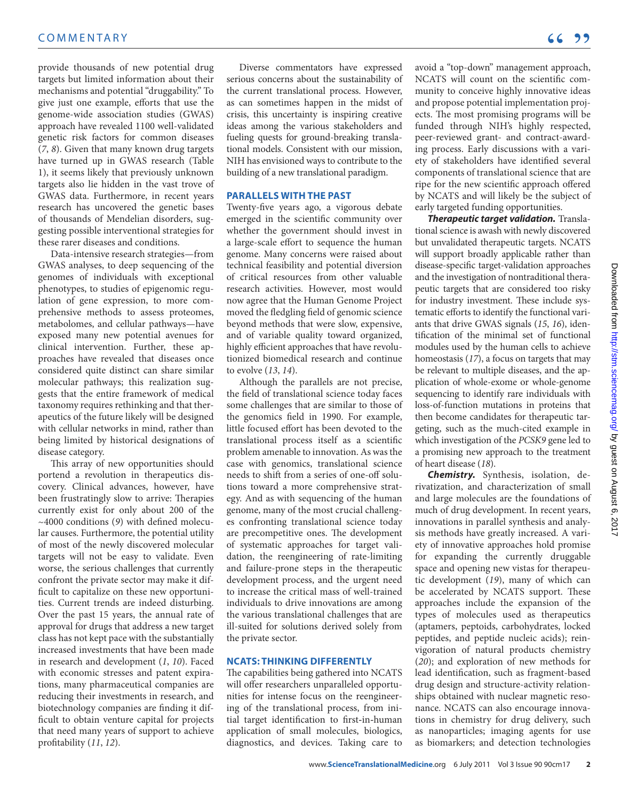provide thousands of new potential drug targets but limited information about their mechanisms and potential "druggability." To give just one example, efforts that use the genome-wide association studies (GWAS) approach have revealed 1100 well-validated genetic risk factors for common diseases (*7*, *8*). Given that many known drug targets have turned up in GWAS research (Table 1), it seems likely that previously unknown targets also lie hidden in the vast trove of GWAS data. Furthermore, in recent years research has uncovered the genetic bases of thousands of Mendelian disorders, suggesting possible interventional strategies for these rarer diseases and conditions.

Data-intensive research strategies—from GWAS analyses, to deep sequencing of the genomes of individuals with exceptional phenotypes, to studies of epigenomic regulation of gene expression, to more comprehensive methods to assess proteomes, metabolomes, and cellular pathways—have exposed many new potential avenues for clinical intervention. Further, these approaches have revealed that diseases once considered quite distinct can share similar molecular pathways; this realization suggests that the entire framework of medical taxonomy requires rethinking and that therapeutics of the future likely will be designed with cellular networks in mind, rather than being limited by historical designations of disease category.

-is array of new opportunities should portend a revolution in therapeutics discovery. Clinical advances, however, have been frustratingly slow to arrive: Therapies currently exist for only about 200 of the  $\sim$ 4000 conditions (9) with defined molecular causes. Furthermore, the potential utility of most of the newly discovered molecular targets will not be easy to validate. Even worse, the serious challenges that currently confront the private sector may make it dif ficult to capitalize on these new opportunities. Current trends are indeed disturbing. Over the past 15 years, the annual rate of approval for drugs that address a new target class has not kept pace with the substantially increased investments that have been made in research and development (*1*, *10*). Faced with economic stresses and patent expirations, many pharmaceutical companies are reducing their investments in research, and biotechnology companies are finding it difficult to obtain venture capital for projects that need many years of support to achieve profitability (11, 12).

Diverse commentators have expressed serious concerns about the sustainability of the current translational process. However, as can sometimes happen in the midst of crisis, this uncertainty is inspiring creative ideas among the various stakeholders and fueling quests for ground-breaking translational models. Consistent with our mission, NIH has envisioned ways to contribute to the building of a new translational paradigm.

#### **PARALLELS WITH THE PAST**

Twenty-five years ago, a vigorous debate emerged in the scientific community over whether the government should invest in a large-scale effort to sequence the human genome. Many concerns were raised about technical feasibility and potential diversion of critical resources from other valuable research activities. However, most would now agree that the Human Genome Project moved the fledgling field of genomic science beyond methods that were slow, expensive, and of variable quality toward organized, highly efficient approaches that have revolutionized biomedical research and continue to evolve (*13*, *14*).

Although the parallels are not precise, the field of translational science today faces some challenges that are similar to those of the genomics field in 1990. For example, little focused effort has been devoted to the translational process itself as a scientific problem amenable to innovation. As was the case with genomics, translational science needs to shift from a series of one-off solutions toward a more comprehensive strategy. And as with sequencing of the human genome, many of the most crucial challenges confronting translational science today are precompetitive ones. The development of systematic approaches for target validation, the reengineering of rate-limiting and failure-prone steps in the therapeutic development process, and the urgent need to increase the critical mass of well-trained individuals to drive innovations are among the various translational challenges that are ill-suited for solutions derived solely from the private sector.

#### **NCATS: THINKING DIFFERENTLY**

The capabilities being gathered into NCATS will offer researchers unparalleled opportunities for intense focus on the reengineering of the translational process, from initial target identification to first-in-human application of small molecules, biologics, diagnostics, and devices. Taking care to

avoid a "top-down" management approach, NCATS will count on the scientific community to conceive highly innovative ideas and propose potential implementation projects. The most promising programs will be funded through NIH's highly respected, peer-reviewed grant- and contract-awarding process. Early discussions with a variety of stakeholders have identified several components of translational science that are ripe for the new scientific approach offered by NCATS and will likely be the subject of early targeted funding opportunities.

*Therapeutic target validation.* Translational science is awash with newly discovered but unvalidated therapeutic targets. NCATS will support broadly applicable rather than disease-specific target-validation approaches and the investigation of nontraditional therapeutic targets that are considered too risky for industry investment. These include systematic efforts to identify the functional variants that drive GWAS signals (*15*, *16*), identification of the minimal set of functional modules used by the human cells to achieve homeostasis (*17*), a focus on targets that may be relevant to multiple diseases, and the application of whole-exome or whole-genome sequencing to identify rare individuals with loss-of-function mutations in proteins that then become candidates for therapeutic targeting, such as the much-cited example in which investigation of the *PCSK9* gene led to a promising new approach to the treatment of heart disease (*18*).

*Chemistry.* Synthesis, isolation, derivatization, and characterization of small and large molecules are the foundations of much of drug development. In recent years, innovations in parallel synthesis and analysis methods have greatly increased. A variety of innovative approaches hold promise for expanding the currently druggable space and opening new vistas for therapeutic development (*19*), many of which can be accelerated by NCATS support. These approaches include the expansion of the types of molecules used as therapeutics (aptamers, peptoids, carbohydrates, locked peptides, and peptide nucleic acids); reinvigoration of natural products chemistry (*20*); and exploration of new methods for lead identification, such as fragment-based drug design and structure-activity relationships obtained with nuclear magnetic resonance. NCATS can also encourage innovations in chemistry for drug delivery, such as nanoparticles; imaging agents for use as biomarkers; and detection technologies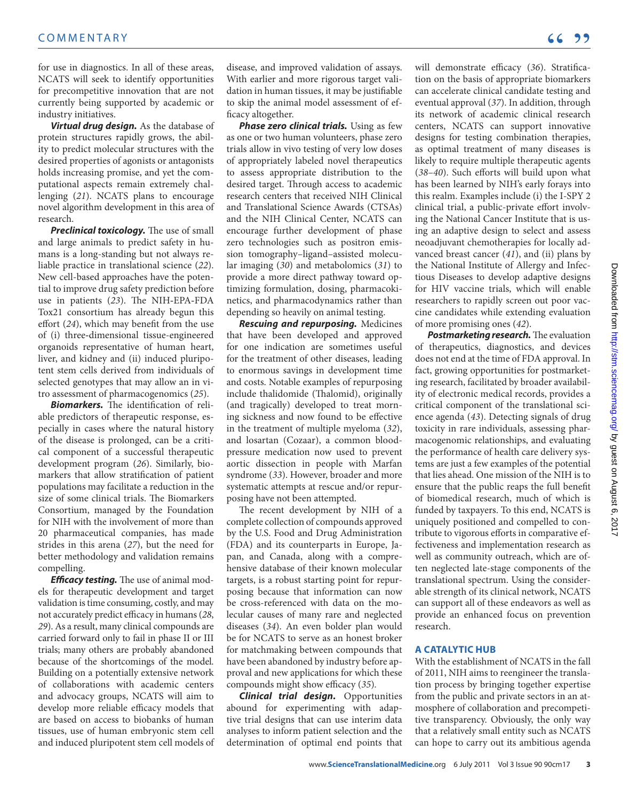for use in diagnostics. In all of these areas, NCATS will seek to identify opportunities for precompetitive innovation that are not currently being supported by academic or industry initiatives.

*Virtual drug design.* As the database of protein structures rapidly grows, the ability to predict molecular structures with the desired properties of agonists or antagonists holds increasing promise, and yet the computational aspects remain extremely challenging (*21*). NCATS plans to encourage novel algorithm development in this area of research.

**Preclinical toxicology.** The use of small and large animals to predict safety in humans is a long-standing but not always reliable practice in translational science (*22*). New cell-based approaches have the potential to improve drug safety prediction before use in patients (23). The NIH-EPA-FDA Tox21 consortium has already begun this effort  $(24)$ , which may benefit from the use of (i) three**-**dimensional tissue-engineered organoids representative of human heart, liver, and kidney and (ii) induced pluripotent stem cells derived from individuals of selected genotypes that may allow an in vitro assessment of pharmacogenomics (*25*).

**Biomarkers.** The identification of reliable predictors of therapeutic response, especially in cases where the natural history of the disease is prolonged, can be a critical component of a successful therapeutic development program (*26*). Similarly, biomarkers that allow stratification of patient populations may facilitate a reduction in the size of some clinical trials. The Biomarkers Consortium, managed by the Foundation for NIH with the involvement of more than 20 pharmaceutical companies, has made strides in this arena (*27*), but the need for better methodology and validation remains compelling.

*Efficacy testing.* The use of animal models for therapeutic development and target validation is time consuming, costly, and may not accurately predict efficacy in humans (28, *29*). As a result, many clinical compounds are carried forward only to fail in phase II or III trials; many others are probably abandoned because of the shortcomings of the model. Building on a potentially extensive network of collaborations with academic centers and advocacy groups, NCATS will aim to develop more reliable efficacy models that are based on access to biobanks of human tissues, use of human embryonic stem cell and induced pluripotent stem cell models of disease, and improved validation of assays. With earlier and more rigorous target validation in human tissues, it may be justifiable to skip the animal model assessment of ef ficacy altogether.

*Phase zero clinical trials.* Using as few as one or two human volunteers, phase zero trials allow in vivo testing of very low doses of appropriately labeled novel therapeutics to assess appropriate distribution to the desired target. Through access to academic research centers that received NIH Clinical and Translational Science Awards (CTSAs) and the NIH Clinical Center, NCATS can encourage further development of phase zero technologies such as positron emission tomography–ligand–assisted molecular imaging (*30*) and metabolomics (*31*) to provide a more direct pathway toward optimizing formulation, dosing, pharmacokinetics, and pharmacodynamics rather than depending so heavily on animal testing.

*Rescuing and repurposing.* Medicines that have been developed and approved for one indication are sometimes useful for the treatment of other diseases, leading to enormous savings in development time and costs. Notable examples of repurposing include thalidomide (Thalomid), originally (and tragically) developed to treat morning sickness and now found to be effective in the treatment of multiple myeloma (*32*), and losartan (Cozaar), a common bloodpressure medication now used to prevent aortic dissection in people with Marfan syndrome (*33*). However, broader and more systematic attempts at rescue and/or repurposing have not been attempted.

The recent development by NIH of a complete collection of compounds approved by the U.S. Food and Drug Administration (FDA) and its counterparts in Europe, Japan, and Canada, along with a comprehensive database of their known molecular targets, is a robust starting point for repurposing because that information can now be cross-referenced with data on the molecular causes of many rare and neglected diseases (*34*). An even bolder plan would be for NCATS to serve as an honest broker for matchmaking between compounds that have been abandoned by industry before approval and new applications for which these compounds might show efficacy (35).

*Clinical trial design.* Opportunities abound for experimenting with adaptive trial designs that can use interim data analyses to inform patient selection and the determination of optimal end points that

will demonstrate efficacy (36). Stratification on the basis of appropriate biomarkers can accelerate clinical candidate testing and eventual approval (*37*). In addition, through its network of academic clinical research centers, NCATS can support innovative designs for testing combination therapies, as optimal treatment of many diseases is likely to require multiple therapeutic agents (38-40). Such efforts will build upon what has been learned by NIH's early forays into this realm. Examples include (i) the I-SPY 2 clinical trial, a public-private effort involving the National Cancer Institute that is using an adaptive design to select and assess neoadjuvant chemotherapies for locally advanced breast cancer (*41*), and (ii) plans by the National Institute of Allergy and Infectious Diseases to develop adaptive designs for HIV vaccine trials, which will enable researchers to rapidly screen out poor vaccine candidates while extending evaluation of more promising ones (*42*).

**Postmarketing research.** The evaluation of therapeutics, diagnostics, and devices does not end at the time of FDA approval. In fact, growing opportunities for postmarketing research, facilitated by broader availability of electronic medical records, provides a critical component of the translational science agenda (*43*). Detecting signals of drug toxicity in rare individuals, assessing pharmacogenomic relationships, and evaluating the performance of health care delivery systems are just a few examples of the potential that lies ahead. One mission of the NIH is to ensure that the public reaps the full benefit of biomedical research, much of which is funded by taxpayers. To this end, NCATS is uniquely positioned and compelled to contribute to vigorous efforts in comparative effectiveness and implementation research as well as community outreach, which are often neglected late-stage components of the translational spectrum. Using the considerable strength of its clinical network, NCATS can support all of these endeavors as well as provide an enhanced focus on prevention research.

#### **A CATALYTIC HUB**

With the establishment of NCATS in the fall of 2011, NIH aims to reengineer the translation process by bringing together expertise from the public and private sectors in an atmosphere of collaboration and precompetitive transparency. Obviously, the only way that a relatively small entity such as NCATS can hope to carry out its ambitious agenda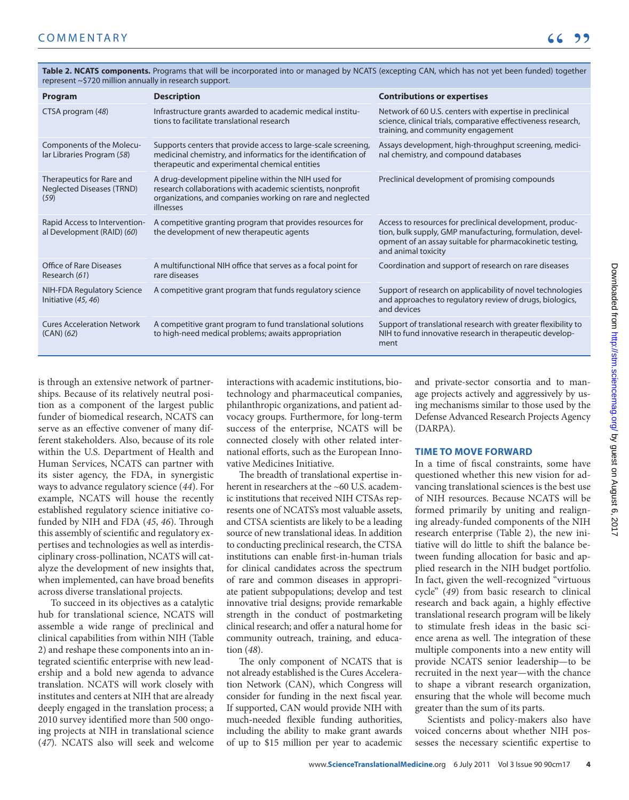| Program                                                               | <b>Description</b>                                                                                                                                                                            | <b>Contributions or expertises</b>                                                                                                                                                                       |
|-----------------------------------------------------------------------|-----------------------------------------------------------------------------------------------------------------------------------------------------------------------------------------------|----------------------------------------------------------------------------------------------------------------------------------------------------------------------------------------------------------|
| CTSA program (48)                                                     | Infrastructure grants awarded to academic medical institu-<br>tions to facilitate translational research                                                                                      | Network of 60 U.S. centers with expertise in preclinical<br>science, clinical trials, comparative effectiveness research,<br>training, and community engagement                                          |
| Components of the Molecu-<br>lar Libraries Program (58)               | Supports centers that provide access to large-scale screening,<br>medicinal chemistry, and informatics for the identification of<br>therapeutic and experimental chemical entities            | Assays development, high-throughput screening, medici-<br>nal chemistry, and compound databases                                                                                                          |
| Therapeutics for Rare and<br><b>Neglected Diseases (TRND)</b><br>(59) | A drug-development pipeline within the NIH used for<br>research collaborations with academic scientists, nonprofit<br>organizations, and companies working on rare and neglected<br>illnesses | Preclinical development of promising compounds                                                                                                                                                           |
| Rapid Access to Intervention-<br>al Development (RAID) (60)           | A competitive granting program that provides resources for<br>the development of new therapeutic agents                                                                                       | Access to resources for preclinical development, produc-<br>tion, bulk supply, GMP manufacturing, formulation, devel-<br>opment of an assay suitable for pharmacokinetic testing,<br>and animal toxicity |
| <b>Office of Rare Diseases</b><br>Research (61)                       | A multifunctional NIH office that serves as a focal point for<br>rare diseases                                                                                                                | Coordination and support of research on rare diseases                                                                                                                                                    |
| NIH-FDA Regulatory Science<br>Initiative (45, 46)                     | A competitive grant program that funds regulatory science                                                                                                                                     | Support of research on applicability of novel technologies<br>and approaches to regulatory review of drugs, biologics,<br>and devices                                                                    |
| <b>Cures Acceleration Network</b><br>$(CAN)$ $(62)$                   | A competitive grant program to fund translational solutions<br>to high-need medical problems; awaits appropriation                                                                            | Support of translational research with greater flexibility to<br>NIH to fund innovative research in therapeutic develop-<br>ment                                                                         |

**Table 2. NCATS components.** Programs that will be incorporated into or managed by NCATS (excepting CAN, which has not yet been funded) together represent ~\$720 million annually in research support.

is through an extensive network of partnerships. Because of its relatively neutral position as a component of the largest public funder of biomedical research, NCATS can serve as an effective convener of many different stakeholders. Also, because of its role within the U.S. Department of Health and Human Services, NCATS can partner with its sister agency, the FDA, in synergistic ways to advance regulatory science (*44*). For example, NCATS will house the recently established regulatory science initiative cofunded by NIH and FDA (45, 46). Through this assembly of scientific and regulatory  $ex$ pertises and technologies as well as interdisciplinary cross-pollination, NCATS will catalyze the development of new insights that, when implemented, can have broad benefits across diverse translational projects.

To succeed in its objectives as a catalytic hub for translational science, NCATS will assemble a wide range of preclinical and clinical capabilities from within NIH (Table 2) and reshape these components into an integrated scientific enterprise with new leadership and a bold new agenda to advance translation. NCATS will work closely with institutes and centers at NIH that are already deeply engaged in the translation process; a  $2010$  survey identified more than 500 ongoing projects at NIH in translational science (*47*)*.* NCATS also will seek and welcome

interactions with academic institutions, biotechnology and pharmaceutical companies, philanthropic organizations, and patient advocacy groups. Furthermore, for long-term success of the enterprise, NCATS will be connected closely with other related international efforts, such as the European Innovative Medicines Initiative.

The breadth of translational expertise inherent in researchers at the ~60 U.S. academic institutions that received NIH CTSAs represents one of NCATS's most valuable assets, and CTSA scientists are likely to be a leading source of new translational ideas. In addition to conducting preclinical research, the CTSA institutions can enable first-in-human trials for clinical candidates across the spectrum of rare and common diseases in appropriate patient subpopulations; develop and test innovative trial designs; provide remarkable strength in the conduct of postmarketing clinical research; and offer a natural home for community outreach, training, and education (*48*).

The only component of NCATS that is not already established is the Cures Acceleration Network (CAN), which Congress will  $\frac{1}{2}$  consider for funding in the next fiscal year. If supported, CAN would provide NIH with much-needed flexible funding authorities, including the ability to make grant awards of up to \$15 million per year to academic

and private-sector consortia and to manage projects actively and aggressively by using mechanisms similar to those used by the Defense Advanced Research Projects Agency (DARPA).

#### **TIME TO MOVE FORWARD**

In a time of fiscal constraints, some have questioned whether this new vision for advancing translational sciences is the best use of NIH resources. Because NCATS will be formed primarily by uniting and realigning already-funded components of the NIH research enterprise (Table 2), the new initiative will do little to shift the balance between funding allocation for basic and applied research in the NIH budget portfolio. In fact, given the well-recognized "virtuous cycle" (*49*) from basic research to clinical research and back again, a highly effective translational research program will be likely to stimulate fresh ideas in the basic science arena as well. The integration of these multiple components into a new entity will provide NCATS senior leadership—to be recruited in the next year—with the chance to shape a vibrant research organization, ensuring that the whole will become much greater than the sum of its parts.

Scientists and policy-makers also have voiced concerns about whether NIH possesses the necessary scientific expertise to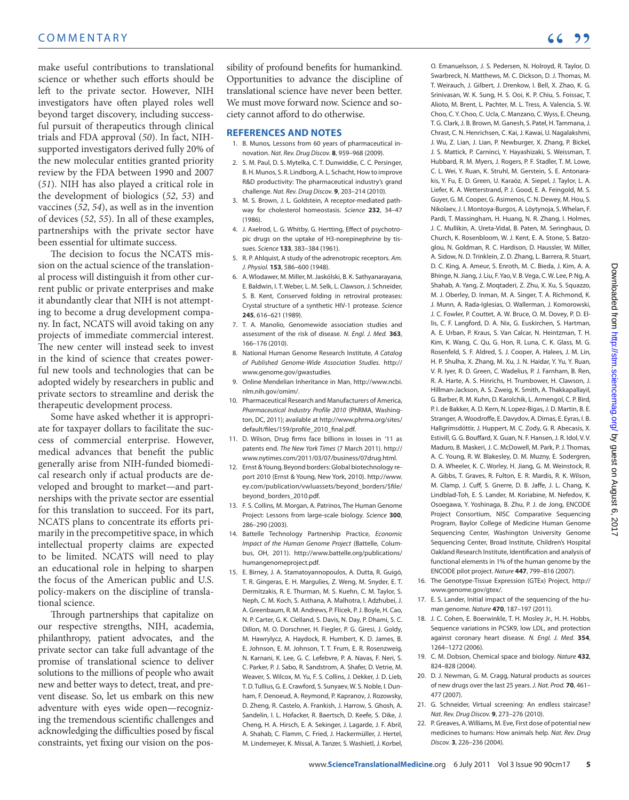make useful contributions to translational science or whether such efforts should be left to the private sector. However, NIH investigators have often played roles well beyond target discovery, including successful pursuit of therapeutics through clinical trials and FDA approval (*50*). In fact, NIHsupported investigators derived fully 20% of the new molecular entities granted priority review by the FDA between 1990 and 2007 (*51*). NIH has also played a critical role in the development of biologics (*52*, *53*) and vaccines (*52*, *54*), as well as in the invention of devices (*52*, *55*). In all of these examples, partnerships with the private sector have been essential for ultimate success.

The decision to focus the NCATS mission on the actual science of the translational process will distinguish it from other current public or private enterprises and make it abundantly clear that NIH is not attempting to become a drug development company. In fact, NCATS will avoid taking on any projects of immediate commercial interest. .<br>The new center will instead seek to invest in the kind of science that creates powerful new tools and technologies that can be adopted widely by researchers in public and private sectors to streamline and derisk the therapeutic development process.

Some have asked whether it is appropriate for taxpayer dollars to facilitate the success of commercial enterprise. However, medical advances that benefit the public generally arise from NIH**-**funded biomedical research only if actual products are developed and brought to market—and partnerships with the private sector are essential for this translation to succeed. For its part, NCATS plans to concentrate its efforts primarily in the precompetitive space, in which intellectual property claims are expected to be limited. NCATS will need to play an educational role in helping to sharpen the focus of the American public and U.S. policy-makers on the discipline of translational science.

Through partnerships that capitalize on our respective strengths, NIH, academia, philanthropy, patient advocates, and the private sector can take full advantage of the promise of translational science to deliver solutions to the millions of people who await new and better ways to detect, treat, and prevent disease. So, let us embark on this new adventure with eyes wide open—recognizing the tremendous scientific challenges and acknowledging the difficulties posed by fiscal constraints, yet fixing our vision on the possibility of profound benefits for humankind. Opportunities to advance the discipline of translational science have never been better. We must move forward now. Science and society cannot afford to do otherwise.

#### **REFERENCES AND NOTES**

- 1. B. Munos, Lessons from 60 years of pharmaceutical innovation. *Nat. Rev. Drug Discov.* **8**, 959–968 (2009).
- 2. S. M. Paul, D. S. Mytelka, C. T. Dunwiddie, C. C. Persinger, B. H. Munos, S. R. Lindborg, A. L. Schacht, How to improve R&D productivity: The pharmaceutical industry's grand challenge. *Nat. Rev. Drug Discov.* **9**, 203–214 (2010).
- 3. M. S. Brown, J. L. Goldstein, A receptor-mediated pathway for cholesterol homeostasis. *Science* **232**, 34–47 (1986).
- 4. J. Axelrod, L. G. Whitby, G. Hertting, Effect of psychotropic drugs on the uptake of H3-norepinephrine by tissues. *Science* **133**, 383–384 (1961).
- 5. R. P. Ahlquist, A study of the adrenotropic receptors. *Am. J. Physiol.* **153**, 586–600 (1948).
- 6. A.Wlodawer, M. Miller, M.Jaskólski, B. K. Sathyanarayana, E. Baldwin, I. T. Weber, L. M. Selk, L. Clawson, J. Schneider, S. B. Kent, Conserved folding in retroviral proteases: Crystal structure of a synthetic HIV-1 protease. *Science* **245**, 616–621 (1989).
- 7. T. A. Manolio, Genomewide association studies and assessment of the risk of disease. *N. Engl. J. Med.* **363**, 166–176 (2010).
- 8. National Human Genome Research Institute, *A Catalog of Published Genome-Wide Association Studies.* http:// www.genome.gov/gwastudies.
- 9. Online Mendelian Inheritance in Man, http://www.ncbi. nlm.nih.gov/omim/.
- 10. Pharmaceutical Research and Manufacturers of America, *Pharmaceutical Industry Profile 2010* (PhRMA, Washington, DC, 2011); available at http://www.phrma.org/sites/ default/files/159/profile\_2010\_final.pdf.
- 11. D. Wilson, Drug firms face billions in losses in '11 as patents end. *The New York Times* (7 March 2011). http:// www.nytimes.com/2011/03/07/business/07drug.html.
- 12. Ernst &Young, Beyond borders: Global biotechnology report 2010 (Ernst & Young, New York, 2010). http://www. ey.com/publication/vwluassets/beyond\_borders/\$file/ beyond\_borders\_2010.pdf.
- 13. F. S. Collins, M. Morgan, A. Patrinos, The Human Genome Project: Lessons from large-scale biology. *Science* **300**, 286–290 (2003).
- 14. Battelle Technology Partnership Practice, *Economic Impact of the Human Genome Project* (Battelle, Columbus, OH, 2011). http://www.battelle.org/publications/ humangenomeproject.pdf.
- 15. E. Birney, J. A. Stamatoyannopoulos, A. Dutta, R. Guigó, T. R. Gingeras, E. H. Margulies, Z. Weng, M. Snyder, E. T. Dermitzakis, R. E. Thurman, M. S. Kuehn, C. M. Taylor, S. Neph, C. M. Koch, S. Asthana, A. Malhotra, I. Adzhubei, J. A. Greenbaum, R. M. Andrews, P. Flicek, P. J. Boyle, H. Cao, N. P. Carter, G. K. Clelland, S. Davis, N. Day, P. Dhami, S. C. Dillon, M. O. Dorschner, H. Fiegler, P. G. Giresi, J. Goldy, M. Hawrylycz, A. Haydock, R. Humbert, K. D. James, B. E. Johnson, E. M. Johnson, T. T. Frum, E. R. Rosenzweig, N. Karnani, K. Lee, G. C. Lefebvre, P. A. Navas, F. Neri, S. C. Parker, P. J. Sabo, R. Sandstrom, A. Shafer, D. Vetrie, M. Weaver, S. Wilcox, M. Yu, F. S. Collins, J. Dekker, J. D. Lieb, T. D. Tullius, G. E. Crawford, S. Sunyaev, W. S. Noble, I. Dunham, F. Denoeud, A. Reymond, P. Kapranov, J. Rozowsky, D. Zheng, R. Castelo, A. Frankish, J. Harrow, S. Ghosh, A. Sandelin, I. L. Hofacker, R. Baertsch, D. Keefe, S. Dike, J. Cheng, H. A. Hirsch, E. A. Sekinger, J. Lagarde, J. F. Abril, A. Shahab, C. Flamm, C. Fried, J. Hackermüller, J. Hertel, M. Lindemeyer, K. Missal, A. Tanzer, S. Washietl, J. Korbel,

O. Emanuelsson, J. S. Pedersen, N. Holroyd, R. Taylor, D. Swarbreck, N. Matthews, M. C. Dickson, D. J. Thomas, M. T. Weirauch, J. Gilbert, J. Drenkow, I. Bell, X. Zhao, K. G. Srinivasan, W. K. Sung, H. S. Ooi, K. P. Chiu, S. Foissac, T. Alioto, M. Brent, L. Pachter, M. L. Tress, A. Valencia, S. W. Choo, C. Y. Choo, C. Ucla, C. Manzano, C. Wyss, E. Cheung, T. G. Clark, J. B. Brown, M. Ganesh, S. Patel, H. Tammana, J. Chrast, C. N. Henrichsen, C. Kai, J. Kawai, U. Nagalakshmi, J. Wu, Z. Lian, J. Lian, P. Newburger, X. Zhang, P. Bickel, J. S. Mattick, P. Carninci, Y. Hayashizaki, S. Weissman, T. Hubbard, R. M. Myers, J. Rogers, P. F. Stadler, T. M. Lowe, C. L. Wei, Y. Ruan, K. Struhl, M. Gerstein, S. E. Antonarakis, Y. Fu, E. D. Green, U. Karaöz, A. Siepel, J. Taylor, L. A. Liefer, K. A. Wetterstrand, P. J. Good, E. A. Feingold, M. S. Guyer, G. M. Cooper, G. Asimenos, C. N. Dewey, M. Hou, S. Nikolaev, J. I. Montoya-Burgos, A. Löytynoja, S. Whelan, F. Pardi, T. Massingham, H. Huang, N. R. Zhang, I. Holmes, J. C. Mullikin, A. Ureta-Vidal, B. Paten, M. Seringhaus, D. Church, K. Rosenbloom, W. J. Kent, E. A. Stone, S. Batzoglou, N. Goldman, R. C. Hardison, D. Haussler, W. Miller, A. Sidow, N. D. Trinklein, Z. D. Zhang, L. Barrera, R. Stuart, D. C. King, A. Ameur, S. Enroth, M. C. Bieda, J. Kim, A. A. Bhinge, N.Jiang, J. Liu, F.Yao, V. B. Vega, C. W. Lee, P. Ng, A. Shahab, A. Yang, Z. Moqtaderi, Z. Zhu, X. Xu, S. Squazzo, M. J. Oberley, D. Inman, M. A. Singer, T. A. Richmond, K. J. Munn, A. Rada-Iglesias, O. Wallerman, J. Komorowski, J. C. Fowler, P. Couttet, A. W. Bruce, O. M. Dovey, P. D. Ellis, C. F. Langford, D. A. Nix, G. Euskirchen, S. Hartman, A. E. Urban, P. Kraus, S. Van Calcar, N. Heintzman, T. H. Kim, K. Wang, C. Qu, G. Hon, R. Luna, C. K. Glass, M. G. Rosenfeld, S. F. Aldred, S. J. Cooper, A. Halees, J. M. Lin, H. P. Shulha, X. Zhang, M. Xu, J. N. Haidar, Y. Yu, Y. Ruan, V. R. Iyer, R. D. Green, C. Wadelius, P. J. Farnham, B. Ren, R. A. Harte, A. S. Hinrichs, H. Trumbower, H. Clawson, J. Hillman-Jackson, A. S. Zweig, K. Smith, A. Thakkapallayil, G. Barber, R. M. Kuhn, D. Karolchik, L. Armengol, C. P. Bird, P. I. de Bakker, A. D. Kern, N. Lopez-Bigas, J. D. Martin, B. E. Stranger, A.Woodroffe, E. Davydov, A. Dimas, E. Eyras, I. B. Hallgrímsdóttir, J. Huppert, M. C. Zody, G. R. Abecasis, X. Estivill, G. G. Bouffard, X. Guan, N. F. Hansen, J. R. Idol, V. V. Maduro, B. Maskeri, J. C. McDowell, M. Park, P. J. Thomas, A. C. Young, R. W. Blakesley, D. M. Muzny, E. Sodergren, D. A. Wheeler, K. C. Worley, H. Jiang, G. M. Weinstock, R. A. Gibbs, T. Graves, R. Fulton, E. R. Mardis, R. K. Wilson, M. Clamp, J. Cuff, S. Gnerre, D. B. Jaffe, J. L. Chang, K. Lindblad-Toh, E. S. Lander, M. Koriabine, M. Nefedov, K. Osoegawa, Y. Yoshinaga, B. Zhu, P. J. de Jong, ENCODE Project Consortium, NISC Comparative Sequencing Program, Baylor College of Medicine Human Genome Sequencing Center, Washington University Genome Sequencing Center, Broad Institute, Children's Hospital Oakland Research Institute, Identification and analysis of functional elements in 1% of the human genome by the ENCODE pilot project. *Nature* **447**, 799–816 (2007).

- 16. The Genotype-Tissue Expression (GTEx) Project, http:// www.genome.gov/gtex/.
- 17. E. S. Lander, Initial impact of the sequencing of the human genome. *Nature* **470**, 187–197 (2011).
- 18. J. C. Cohen, E. Boerwinkle, T. H. Mosley Jr., H. H. Hobbs, Sequence variations in PCSK9, low LDL, and protection against coronary heart disease. *N. Engl. J. Med.* **354**, 1264–1272 (2006).
- 19. C. M. Dobson, Chemical space and biology. *Nature* **432**, 824–828 (2004).
- 20. D. J. Newman, G. M. Cragg, Natural products as sources of new drugs over the last 25 years. *J. Nat. Prod.* **70**, 461– 477 (2007).
- 21. G. Schneider, Virtual screening: An endless staircase? *Nat. Rev. Drug Discov.* **9**, 273–276 (2010).
- 22. P. Greaves, A. Williams, M. Eve, First dose of potential new medicines to humans: How animals help. *Nat. Rev. Drug Discov.* **3**, 226–236 (2004).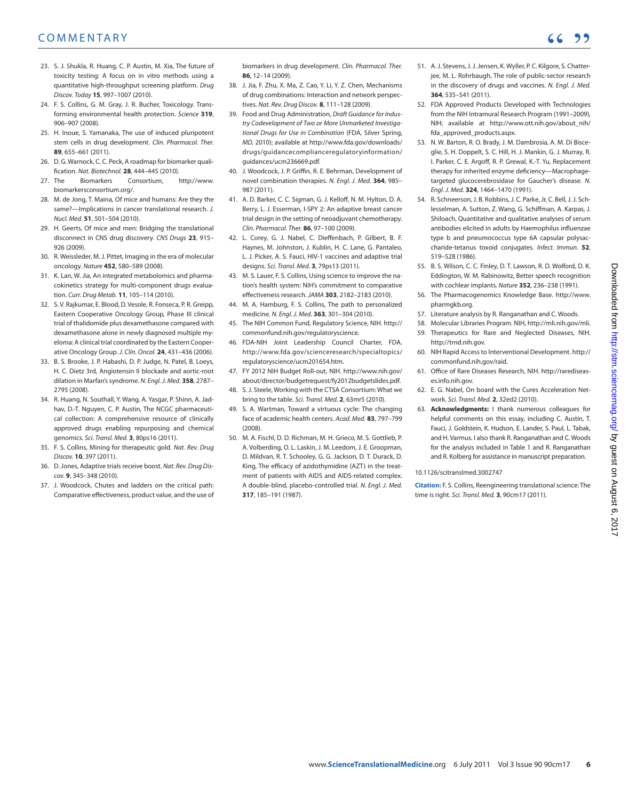- 23. S. J. Shukla, R. Huang, C. P. Austin, M. Xia, The future of toxicity testing: A focus on in vitro methods using a quantitative high-throughput screening platform. *Drug Discov. Today* **15**, 997–1007 (2010).
- 24. F. S. Collins, G. M. Gray, J. R. Bucher, Toxicology. Transforming environmental health protection. *Science* **319**, 906–907 (2008).
- 25. H. Inoue, S. Yamanaka, The use of induced pluripotent stem cells in drug development. *Clin. Pharmacol. Ther.* **89**, 655–661 (2011).
- 26. D. G.Warnock, C. C. Peck, A roadmap for biomarker qualifi cation. *Nat. Biotechnol.* **28**, 444–445 (2010).
- 27. The Biomarkers Consortium, http://www. biomarkersconsortium.org/.
- 28. M. de Jong, T. Maina, Of mice and humans: Are they the same?—Implications in cancer translational research. *J. Nucl. Med.* **51**, 501–504 (2010).
- 29. H. Geerts, Of mice and men: Bridging the translational disconnect in CNS drug discovery. *CNS Drugs* **23**, 915– 926 (2009).
- 30. R. Weissleder, M. J. Pittet, Imaging in the era of molecular oncology. *Nature* **452**, 580–589 (2008).
- 31. K. Lan, W. Jia, An integrated metabolomics and pharmacokinetics strategy for multi-component drugs evaluation. *Curr. Drug Metab.* **11**, 105–114 (2010).
- 32. S. V. Rajkumar, E. Blood, D. Vesole, R. Fonseca, P. R. Greipp, Eastern Cooperative Oncology Group, Phase III clinical trial of thalidomide plus dexamethasone compared with dexamethasone alone in newly diagnosed multiple myeloma: A clinical trial coordinated by the Eastern Cooperative Oncology Group. *J. Clin. Oncol.* **24**, 431–436 (2006).
- 33. B. S. Brooke, J. P. Habashi, D. P. Judge, N. Patel, B. Loeys, H. C. Dietz 3rd, Angiotensin II blockade and aortic-root dilation in Marfan's syndrome. *N. Engl. J. Med.* **358**, 2787– 2795 (2008).
- 34. R. Huang, N. Southall, Y. Wang, A. Yasgar, P. Shinn, A. Jadhav, D.-T. Nguyen, C. P. Austin, The NCGC pharmaceutical collection: A comprehensive resource of clinically approved drugs enabling repurposing and chemical genomics. *Sci. Transl. Med.* **3**, 80ps16 (2011).
- 35. F. S. Collins, Mining for therapeutic gold. *Nat. Rev. Drug Discov.* **10**, 397 (2011).
- 36. D. Jones, Adaptive trials receive boost. *Nat. Rev. Drug Discov.* **9**, 345–348 (2010).
- 37. J. Woodcock, Chutes and ladders on the critical path: Comparative effectiveness, product value, and the use of

biomarkers in drug development. *Clin. Pharmacol. Ther.* **86**, 12–14 (2009).

- 38. J. Jia, F. Zhu, X. Ma, Z. Cao, Y. Li, Y. Z. Chen, Mechanisms of drug combinations: Interaction and network perspectives. *Nat. Rev. Drug Discov.* **8**, 111–128 (2009).
- 39. Food and Drug Administration, *Draft Guidance for Industry Codevelopment of Two or More Unmarketed Investigational Drugs for Use in Combination* (FDA, Silver Spring, *MD,* 2010); available at http://www.fda.gov/downloads/ drugs/guidancecomplianceregulatoryinformation/ guidances/ucm236669.pdf.
- 40. J. Woodcock, J. P. Griffin, R. E. Behrman, Development of novel combination therapies. *N. Engl. J. Med.* **364**, 985– 987 (2011).
- 41. A. D. Barker, C. C. Sigman, G. J. Kelloff, N. M. Hylton, D. A. Berry, L. J. Esserman, I-SPY 2: An adaptive breast cancer trial design in the setting of neoadjuvant chemotherapy. *Clin. Pharmacol. Ther.* **86**, 97–100 (2009).
- 42. L. Corey, G. J. Nabel, C. Dieffenbach, P. Gilbert, B. F. Haynes, M. Johnston, J. Kublin, H. C. Lane, G. Pantaleo, L. J. Picker, A. S. Fauci, HIV-1 vaccines and adaptive trial designs. *Sci. Transl. Med.* **3**, 79ps13 (2011).
- 43. M. S. Lauer, F. S. Collins, Using science to improve the nation's health system: NIH's commitment to comparative effectiveness research. *JAMA* **303**, 2182–2183 (2010).
- 44. M. A. Hamburg, F. S. Collins, The path to personalized medicine. *N. Engl. J. Med.* **363**, 301–304 (2010).
- 45. The NIH Common Fund, Regulatory Science, NIH. http:// commonfund.nih.gov/regulatoryscience.
- 46. FDA-NIH Joint Leadership Council Charter, FDA. http://www.fda.gov/scienceresearch/specialtopics/ regulatoryscience/ucm201654.htm.
- 47. FY 2012 NIH Budget Roll-out, NIH. http://www.nih.gov/ about/director/budgetrequest/fy2012budgetslides.pdf.
- 48. S. J. Steele, Working with the CTSA Consortium: What we bring to the table. *Sci. Transl. Med.* **2**, 63mr5 (2010).
- 49. S. A. Wartman, Toward a virtuous cycle: The changing face of academic health centers. *Acad. Med.* **83**, 797–799 (2008).
- 50. M. A. Fischl, D. D. Richman, M. H. Grieco, M. S. Gottlieb, P. A. Volberding, O. L. Laskin, J. M. Leedom, J. E. Groopman, D. Mildvan, R. T. Schooley, G. G. Jackson, D. T. Durack, D. King, The efficacy of azidothymidine (AZT) in the treatment of patients with AIDS and AIDS-related complex. A double-blind, placebo-controlled trial. *N. Engl. J. Med.* **317**, 185–191 (1987).
- 51. A.J. Stevens, J. J.Jensen, K.Wyller, P. C. Kilgore, S. Chatterjee, M. L. Rohrbaugh, The role of public-sector research in the discovery of drugs and vaccines. *N. Engl. J. Med.* **364**, 535–541 (2011).
- 52. FDA Approved Products Developed with Technologies from the NIH Intramural Research Program (1991–2009), NIH; available at http://www.ott.nih.gov/about\_nih/ fda\_approved\_products.aspx.
- 53. N. W. Barton, R. O. Brady, J. M. Dambrosia, A. M. Di Bisceglie, S. H. Doppelt, S. C. Hill, H. J. Mankin, G. J. Murray, R. I. Parker, C. E. Argoff, R. P. Grewal, K.-T. Yu, Replacement therapy for inherited enzyme deficiency—Macrophagetargeted glucocerebrosidase for Gaucher's disease. *N. Engl. J. Med.* **324**, 1464–1470 (1991).
- 54. R. Schneerson, J. B. Robbins, J. C. Parke, Jr, C. Bell, J. J. Schlesselman, A. Sutton, Z. Wang, G. Schiffman, A. Karpas, J. Shiloach, Quantitative and qualitative analyses of serum antibodies elicited in adults by Haemophilus influenzae type b and pneumococcus type 6A capsular polysaccharide-tetanus toxoid conjugates. *Infect. Immun.* **52**, 519–528 (1986).
- 55. B. S. Wilson, C. C. Finley, D. T. Lawson, R. D. Wolford, D. K. Eddington, W. M. Rabinowitz, Better speech recognition with cochlear implants. *Nature* **352**, 236–238 (1991).
- 56. The Pharmacogenomics Knowledge Base. http://www. pharmgkb.org.
- 57. Literature analysis by R. Ranganathan and C. Woods.
- 58. Molecular Libraries Program. NIH, http://mli.nih.gov/mli.
- 59. Therapeutics for Rare and Neglected Diseases, NIH. http://trnd.nih.gov.
- 60. NIH Rapid Access to Interventional Development. http:// commonfund.nih.gov/raid.
- 61. Office of Rare Diseases Research, NIH. http://rarediseases.info.nih.gov.
- 62. E. G. Nabel, On board with the Cures Acceleration Network. *Sci. Transl. Med.* **2**, 32ed2 (2010).
- 63. **Acknowledgments:** I thank numerous colleagues for helpful comments on this essay, including C. Austin, T. Fauci, J. Goldstein, K. Hudson, E. Lander, S. Paul, L. Tabak, and H. Varmus. I also thank R. Ranganathan and C. Woods for the analysis included in Table 1 and R. Ranganathan and R. Kolberg for assistance in manuscript preparation.

#### 10.1126/scitranslmed.3002747

**Citation:** F. S. Collins, Reengineering translational science: The time is right. *Sci. Transl. Med.* **3**, 90cm17 (2011).